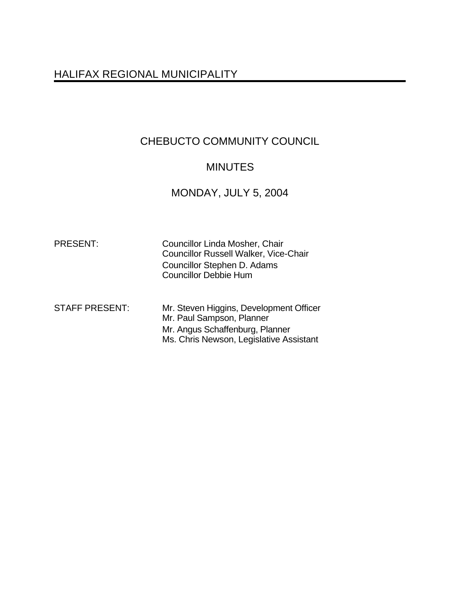# HALIFAX REGIONAL MUNICIPALITY

# CHEBUCTO COMMUNITY COUNCIL

## MINUTES

# MONDAY, JULY 5, 2004

| <b>PRESENT:</b>       | Councillor Linda Mosher, Chair<br><b>Councillor Russell Walker, Vice-Chair</b><br>Councillor Stephen D. Adams<br><b>Councillor Debbie Hum</b>      |
|-----------------------|----------------------------------------------------------------------------------------------------------------------------------------------------|
| <b>STAFF PRESENT:</b> | Mr. Steven Higgins, Development Officer<br>Mr. Paul Sampson, Planner<br>Mr. Angus Schaffenburg, Planner<br>Ms. Chris Newson, Legislative Assistant |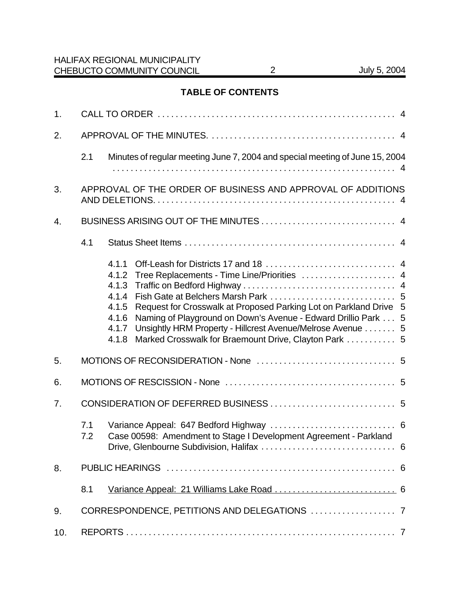## **TABLE OF CONTENTS**

| 1.  |                                                             |                                                                                                                                                                                                                                                                                                                                                                                   |  |  |  |
|-----|-------------------------------------------------------------|-----------------------------------------------------------------------------------------------------------------------------------------------------------------------------------------------------------------------------------------------------------------------------------------------------------------------------------------------------------------------------------|--|--|--|
| 2.  |                                                             |                                                                                                                                                                                                                                                                                                                                                                                   |  |  |  |
|     | 2.1                                                         | Minutes of regular meeting June 7, 2004 and special meeting of June 15, 2004                                                                                                                                                                                                                                                                                                      |  |  |  |
| 3.  | APPROVAL OF THE ORDER OF BUSINESS AND APPROVAL OF ADDITIONS |                                                                                                                                                                                                                                                                                                                                                                                   |  |  |  |
| 4.  |                                                             |                                                                                                                                                                                                                                                                                                                                                                                   |  |  |  |
|     | 4.1                                                         |                                                                                                                                                                                                                                                                                                                                                                                   |  |  |  |
|     |                                                             | 4.1.1<br>Tree Replacements - Time Line/Priorities  4<br>4.1.2<br>4.1.3<br>4.1.4<br>Request for Crosswalk at Proposed Parking Lot on Parkland Drive 5<br>4.1.5<br>Naming of Playground on Down's Avenue - Edward Drillio Park 5<br>4.1.6<br>Unsightly HRM Property - Hillcrest Avenue/Melrose Avenue  5<br>4.1.7<br>Marked Crosswalk for Braemount Drive, Clayton Park  5<br>4.1.8 |  |  |  |
| 5.  |                                                             |                                                                                                                                                                                                                                                                                                                                                                                   |  |  |  |
| 6.  |                                                             |                                                                                                                                                                                                                                                                                                                                                                                   |  |  |  |
| 7.  |                                                             |                                                                                                                                                                                                                                                                                                                                                                                   |  |  |  |
|     | 7.1<br>7.2                                                  | Case 00598: Amendment to Stage I Development Agreement - Parkland                                                                                                                                                                                                                                                                                                                 |  |  |  |
| 8.  |                                                             |                                                                                                                                                                                                                                                                                                                                                                                   |  |  |  |
|     | 8.1                                                         |                                                                                                                                                                                                                                                                                                                                                                                   |  |  |  |
| 9.  |                                                             |                                                                                                                                                                                                                                                                                                                                                                                   |  |  |  |
| 10. |                                                             |                                                                                                                                                                                                                                                                                                                                                                                   |  |  |  |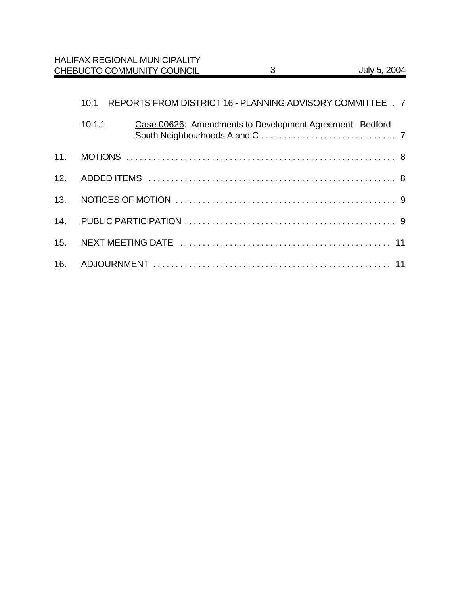|     | 10.1   | REPORTS FROM DISTRICT 16 - PLANNING ADVISORY COMMITTEE . 7 |  |  |
|-----|--------|------------------------------------------------------------|--|--|
|     | 10.1.1 | Case 00626: Amendments to Development Agreement - Bedford  |  |  |
| 11. |        |                                                            |  |  |
| 12. |        |                                                            |  |  |
| 13. |        |                                                            |  |  |
| 14. |        |                                                            |  |  |
| 15. |        |                                                            |  |  |
|     |        |                                                            |  |  |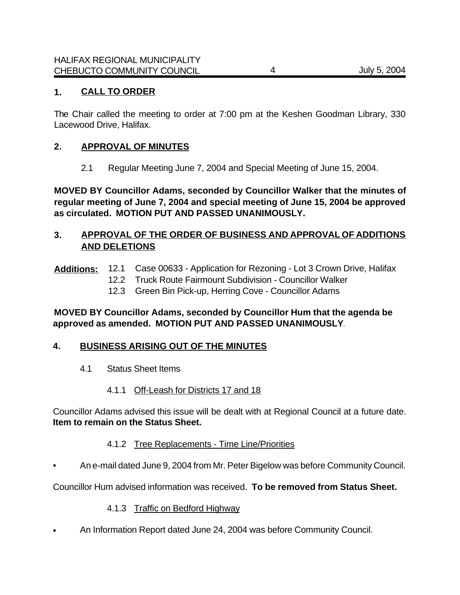### **1. CALL TO ORDER**

The Chair called the meeting to order at 7:00 pm at the Keshen Goodman Library, 330 Lacewood Drive, Halifax.

#### **2. APPROVAL OF MINUTES**

2.1 Regular Meeting June 7, 2004 and Special Meeting of June 15, 2004.

**MOVED BY Councillor Adams, seconded by Councillor Walker that the minutes of regular meeting of June 7, 2004 and special meeting of June 15, 2004 be approved as circulated. MOTION PUT AND PASSED UNANIMOUSLY.**

#### **3. APPROVAL OF THE ORDER OF BUSINESS AND APPROVAL OF ADDITIONS AND DELETIONS**

- **Additions:** 12.1 Case 00633 Application for Rezoning Lot 3 Crown Drive, Halifax
	- 12.2 Truck Route Fairmount Subdivision Councillor Walker
	- 12.3 Green Bin Pick-up, Herring Cove Councillor Adams

#### **MOVED BY Councillor Adams, seconded by Councillor Hum that the agenda be approved as amended. MOTION PUT AND PASSED UNANIMOUSLY**.

#### **4. BUSINESS ARISING OUT OF THE MINUTES**

- 4.1 Status Sheet Items
	- 4.1.1 Off-Leash for Districts 17 and 18

Councillor Adams advised this issue will be dealt with at Regional Council at a future date. **Item to remain on the Status Sheet.**

#### 4.1.2 Tree Replacements - Time Line/Priorities

• An e-mail dated June 9, 2004 from Mr. Peter Bigelow was before Community Council.

Councillor Hum advised information was received. **To be removed from Status Sheet.**

#### 4.1.3 Traffic on Bedford Highway

• An Information Report dated June 24, 2004 was before Community Council.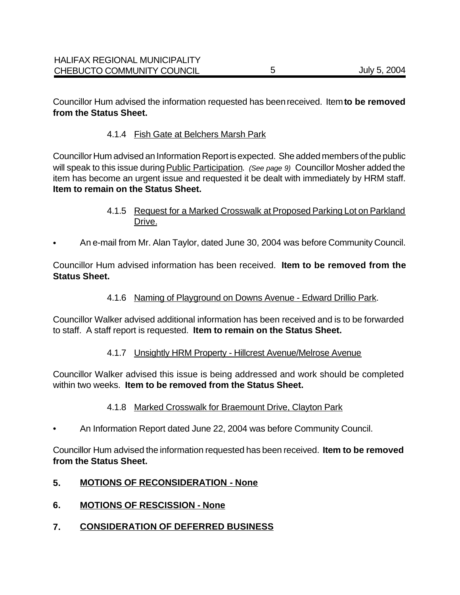### 4.1.4 Fish Gate at Belchers Marsh Park

Councillor Hum advised an Information Report is expected. She added members of the public will speak to this issue during Public Participation. *(See page 9)* Councillor Mosher added the item has become an urgent issue and requested it be dealt with immediately by HRM staff. **Item to remain on the Status Sheet.**

- 4.1.5 Request for a Marked Crosswalk at Proposed Parking Lot on Parkland Drive.
- An e-mail from Mr. Alan Taylor, dated June 30, 2004 was before Community Council.

Councillor Hum advised information has been received. **Item to be removed from the Status Sheet.** 

4.1.6 Naming of Playground on Downs Avenue - Edward Drillio Park.

Councillor Walker advised additional information has been received and is to be forwarded to staff. A staff report is requested. **Item to remain on the Status Sheet.** 

#### 4.1.7 Unsightly HRM Property - Hillcrest Avenue/Melrose Avenue

Councillor Walker advised this issue is being addressed and work should be completed within two weeks. **Item to be removed from the Status Sheet.**

#### 4.1.8 Marked Crosswalk for Braemount Drive, Clayton Park

• An Information Report dated June 22, 2004 was before Community Council.

Councillor Hum advised the information requested has been received. **Item to be removed from the Status Sheet.**

#### **5. MOTIONS OF RECONSIDERATION - None**

- **6. MOTIONS OF RESCISSION None**
- **7. CONSIDERATION OF DEFERRED BUSINESS**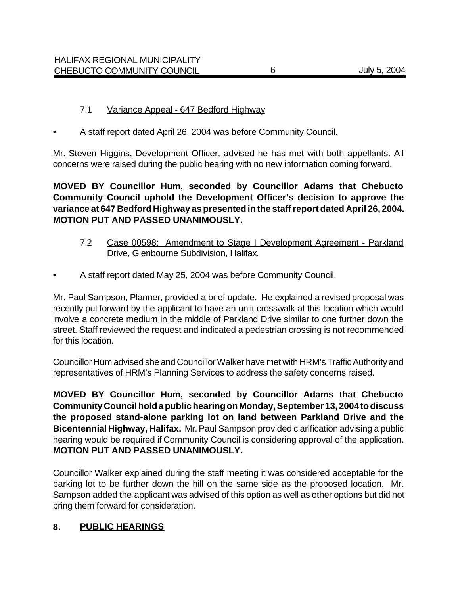#### 7.1 Variance Appeal - 647 Bedford Highway

• A staff report dated April 26, 2004 was before Community Council.

Mr. Steven Higgins, Development Officer, advised he has met with both appellants. All concerns were raised during the public hearing with no new information coming forward.

**MOVED BY Councillor Hum, seconded by Councillor Adams that Chebucto Community Council uphold the Development Officer's decision to approve the variance at 647 Bedford Highway as presented in the staff report dated April 26, 2004. MOTION PUT AND PASSED UNANIMOUSLY.**

- 7.2 Case 00598: Amendment to Stage I Development Agreement Parkland Drive, Glenbourne Subdivision, Halifax.
- A staff report dated May 25, 2004 was before Community Council.

Mr. Paul Sampson, Planner, provided a brief update. He explained a revised proposal was recently put forward by the applicant to have an unlit crosswalk at this location which would involve a concrete medium in the middle of Parkland Drive similar to one further down the street. Staff reviewed the request and indicated a pedestrian crossing is not recommended for this location.

Councillor Hum advised she and Councillor Walker have met with HRM's Traffic Authority and representatives of HRM's Planning Services to address the safety concerns raised.

**MOVED BY Councillor Hum, seconded by Councillor Adams that Chebucto Community Council hold a public hearing on Monday, September 13, 2004 to discuss the proposed stand-alone parking lot on land between Parkland Drive and the Bicentennial Highway, Halifax.** Mr. Paul Sampson provided clarification advising a public hearing would be required if Community Council is considering approval of the application. **MOTION PUT AND PASSED UNANIMOUSLY.**

Councillor Walker explained during the staff meeting it was considered acceptable for the parking lot to be further down the hill on the same side as the proposed location. Mr. Sampson added the applicant was advised of this option as well as other options but did not bring them forward for consideration.

#### **8. PUBLIC HEARINGS**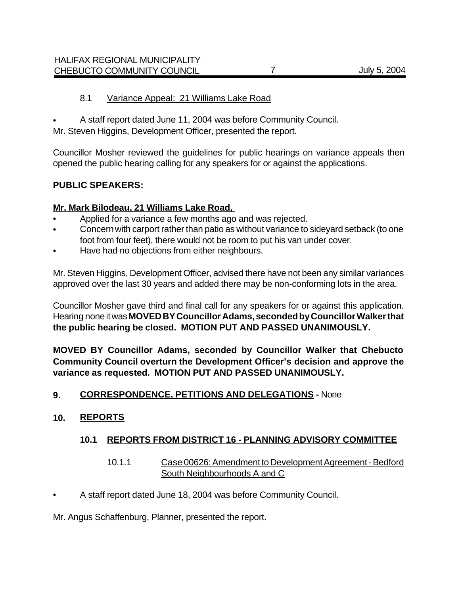#### 8.1 Variance Appeal: 21 Williams Lake Road

• A staff report dated June 11, 2004 was before Community Council.

Mr. Steven Higgins, Development Officer, presented the report.

Councillor Mosher reviewed the guidelines for public hearings on variance appeals then opened the public hearing calling for any speakers for or against the applications.

#### **PUBLIC SPEAKERS:**

#### **Mr. Mark Bilodeau, 21 Williams Lake Road,**

- Applied for a variance a few months ago and was rejected.
- Concern with carport rather than patio as without variance to sideyard setback (to one foot from four feet), there would not be room to put his van under cover.
- Have had no objections from either neighbours.

Mr. Steven Higgins, Development Officer, advised there have not been any similar variances approved over the last 30 years and added there may be non-conforming lots in the area.

Councillor Mosher gave third and final call for any speakers for or against this application. Hearing none it was **MOVED BY Councillor Adams, seconded by Councillor Walker that the public hearing be closed. MOTION PUT AND PASSED UNANIMOUSLY.** 

**MOVED BY Councillor Adams, seconded by Councillor Walker that Chebucto Community Council overturn the Development Officer's decision and approve the variance as requested. MOTION PUT AND PASSED UNANIMOUSLY.**

#### **9. CORRESPONDENCE, PETITIONS AND DELEGATIONS -** None

#### **10. REPORTS**

#### **10.1 REPORTS FROM DISTRICT 16 - PLANNING ADVISORY COMMITTEE**

#### 10.1.1 Case 00626: Amendment to Development Agreement - Bedford South Neighbourhoods A and C

• A staff report dated June 18, 2004 was before Community Council.

Mr. Angus Schaffenburg, Planner, presented the report.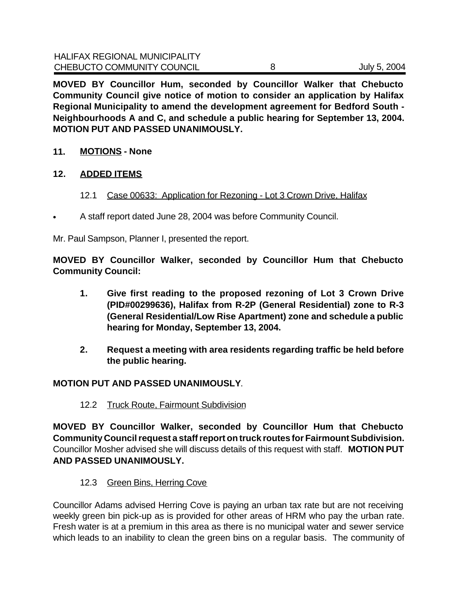**MOVED BY Councillor Hum, seconded by Councillor Walker that Chebucto Community Council give notice of motion to consider an application by Halifax Regional Municipality to amend the development agreement for Bedford South - Neighbourhoods A and C, and schedule a public hearing for September 13, 2004. MOTION PUT AND PASSED UNANIMOUSLY.**

**11. MOTIONS - None**

#### **12. ADDED ITEMS**

- 12.1 Case 00633: Application for Rezoning Lot 3 Crown Drive, Halifax
- A staff report dated June 28, 2004 was before Community Council.

Mr. Paul Sampson, Planner I, presented the report.

**MOVED BY Councillor Walker, seconded by Councillor Hum that Chebucto Community Council:**

- **1. Give first reading to the proposed rezoning of Lot 3 Crown Drive (PID#00299636), Halifax from R-2P (General Residential) zone to R-3 (General Residential/Low Rise Apartment) zone and schedule a public hearing for Monday, September 13, 2004.**
- **2. Request a meeting with area residents regarding traffic be held before the public hearing.**

#### **MOTION PUT AND PASSED UNANIMOUSLY**.

#### 12.2 Truck Route, Fairmount Subdivision

**MOVED BY Councillor Walker, seconded by Councillor Hum that Chebucto Community Council request a staff report on truck routes for Fairmount Subdivision.** Councillor Mosher advised she will discuss details of this request with staff. **MOTION PUT AND PASSED UNANIMOUSLY.**

12.3 Green Bins, Herring Cove

Councillor Adams advised Herring Cove is paying an urban tax rate but are not receiving weekly green bin pick-up as is provided for other areas of HRM who pay the urban rate. Fresh water is at a premium in this area as there is no municipal water and sewer service which leads to an inability to clean the green bins on a regular basis. The community of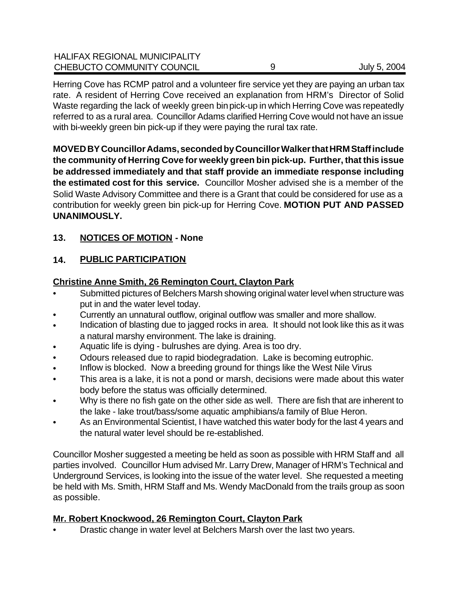| <b>HALIFAX REGIONAL MUNICIPALITY</b><br>CHEBUCTO COMMUNITY COUNCIL | July 5, 2004 |
|--------------------------------------------------------------------|--------------|
|                                                                    |              |

Herring Cove has RCMP patrol and a volunteer fire service yet they are paying an urban tax rate. A resident of Herring Cove received an explanation from HRM's Director of Solid Waste regarding the lack of weekly green bin pick-up in which Herring Cove was repeatedly referred to as a rural area. Councillor Adams clarified Herring Cove would not have an issue with bi-weekly green bin pick-up if they were paying the rural tax rate.

**MOVED BY Councillor Adams, seconded by Councillor Walker that HRM Staff include the community of Herring Cove for weekly green bin pick-up. Further, that this issue be addressed immediately and that staff provide an immediate response including the estimated cost for this service.** Councillor Mosher advised she is a member of the Solid Waste Advisory Committee and there is a Grant that could be considered for use as a contribution for weekly green bin pick-up for Herring Cove. **MOTION PUT AND PASSED UNANIMOUSLY.**

## **13. NOTICES OF MOTION - None**

## **14. PUBLIC PARTICIPATION**

#### **Christine Anne Smith, 26 Remington Court, Clayton Park**

- Submitted pictures of Belchers Marsh showing original water level when structure was put in and the water level today.
- Currently an unnatural outflow, original outflow was smaller and more shallow.
- Indication of blasting due to jagged rocks in area. It should not look like this as it was a natural marshy environment. The lake is draining.
- Aquatic life is dying bulrushes are dying. Area is too dry.
- Odours released due to rapid biodegradation. Lake is becoming eutrophic.
- Inflow is blocked. Now a breeding ground for things like the West Nile Virus
- This area is a lake, it is not a pond or marsh, decisions were made about this water body before the status was officially determined.
- Why is there no fish gate on the other side as well. There are fish that are inherent to the lake - lake trout/bass/some aquatic amphibians/a family of Blue Heron.
- As an Environmental Scientist, I have watched this water body for the last 4 years and the natural water level should be re-established.

Councillor Mosher suggested a meeting be held as soon as possible with HRM Staff and all parties involved. Councillor Hum advised Mr. Larry Drew, Manager of HRM's Technical and Underground Services, is looking into the issue of the water level. She requested a meeting be held with Ms. Smith, HRM Staff and Ms. Wendy MacDonald from the trails group as soon as possible.

#### **Mr. Robert Knockwood, 26 Remington Court, Clayton Park**

• Drastic change in water level at Belchers Marsh over the last two years.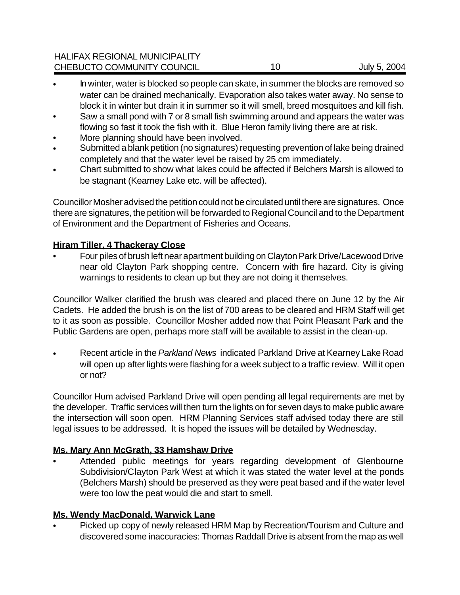## HALIFAX REGIONAL MUNICIPALITY CHEBUCTO COMMUNITY COUNCIL 10 10 July 5, 2004

- In winter, water is blocked so people can skate, in summer the blocks are removed so water can be drained mechanically. Evaporation also takes water away. No sense to block it in winter but drain it in summer so it will smell, breed mosquitoes and kill fish.
- Saw a small pond with 7 or 8 small fish swimming around and appears the water was flowing so fast it took the fish with it. Blue Heron family living there are at risk.
- More planning should have been involved.
- Submitted a blank petition (no signatures) requesting prevention of lake being drained completely and that the water level be raised by 25 cm immediately.
- Chart submitted to show what lakes could be affected if Belchers Marsh is allowed to be stagnant (Kearney Lake etc. will be affected).

Councillor Mosher advised the petition could not be circulated until there are signatures. Once there are signatures, the petition will be forwarded to Regional Council and to the Department of Environment and the Department of Fisheries and Oceans.

## **Hiram Tiller, 4 Thackeray Close**

• Four piles of brush left near apartment building on Clayton Park Drive/Lacewood Drive near old Clayton Park shopping centre. Concern with fire hazard. City is giving warnings to residents to clean up but they are not doing it themselves.

Councillor Walker clarified the brush was cleared and placed there on June 12 by the Air Cadets. He added the brush is on the list of 700 areas to be cleared and HRM Staff will get to it as soon as possible. Councillor Mosher added now that Point Pleasant Park and the Public Gardens are open, perhaps more staff will be available to assist in the clean-up.

• Recent article in the *Parkland News* indicated Parkland Drive at Kearney Lake Road will open up after lights were flashing for a week subject to a traffic review. Will it open or not?

Councillor Hum advised Parkland Drive will open pending all legal requirements are met by the developer. Traffic services will then turn the lights on for seven days to make public aware the intersection will soon open. HRM Planning Services staff advised today there are still legal issues to be addressed. It is hoped the issues will be detailed by Wednesday.

## **Ms. Mary Ann McGrath, 33 Hamshaw Drive**

• Attended public meetings for years regarding development of Glenbourne Subdivision/Clayton Park West at which it was stated the water level at the ponds (Belchers Marsh) should be preserved as they were peat based and if the water level were too low the peat would die and start to smell.

## **Ms. Wendy MacDonald, Warwick Lane**

• Picked up copy of newly released HRM Map by Recreation/Tourism and Culture and discovered some inaccuracies: Thomas Raddall Drive is absent from the map as well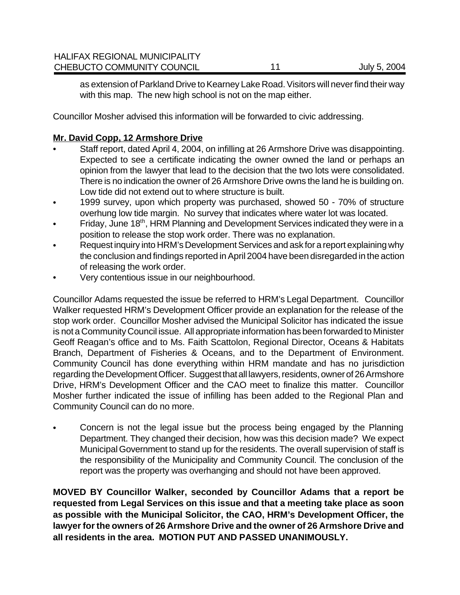as extension of Parkland Drive to Kearney Lake Road. Visitors will never find their way with this map. The new high school is not on the map either.

Councillor Mosher advised this information will be forwarded to civic addressing.

## **Mr. David Copp, 12 Armshore Drive**

- Staff report, dated April 4, 2004, on infilling at 26 Armshore Drive was disappointing. Expected to see a certificate indicating the owner owned the land or perhaps an opinion from the lawyer that lead to the decision that the two lots were consolidated. There is no indication the owner of 26 Armshore Drive owns the land he is building on. Low tide did not extend out to where structure is built.
- 1999 survey, upon which property was purchased, showed 50 70% of structure overhung low tide margin. No survey that indicates where water lot was located.
- Friday, June 18<sup>th</sup>, HRM Planning and Development Services indicated they were in a position to release the stop work order. There was no explanation.
- Request inquiry into HRM's Development Services and ask for a report explaining why the conclusion and findings reported in April 2004 have been disregarded in the action of releasing the work order.
- Very contentious issue in our neighbourhood.

Councillor Adams requested the issue be referred to HRM's Legal Department. Councillor Walker requested HRM's Development Officer provide an explanation for the release of the stop work order. Councillor Mosher advised the Municipal Solicitor has indicated the issue is not a Community Council issue. All appropriate information has been forwarded to Minister Geoff Reagan's office and to Ms. Faith Scattolon, Regional Director, Oceans & Habitats Branch, Department of Fisheries & Oceans, and to the Department of Environment. Community Council has done everything within HRM mandate and has no jurisdiction regarding the Development Officer. Suggest that all lawyers, residents, owner of 26 Armshore Drive, HRM's Development Officer and the CAO meet to finalize this matter. Councillor Mosher further indicated the issue of infilling has been added to the Regional Plan and Community Council can do no more.

• Concern is not the legal issue but the process being engaged by the Planning Department. They changed their decision, how was this decision made? We expect Municipal Government to stand up for the residents. The overall supervision of staff is the responsibility of the Municipality and Community Council. The conclusion of the report was the property was overhanging and should not have been approved.

**MOVED BY Councillor Walker, seconded by Councillor Adams that a report be requested from Legal Services on this issue and that a meeting take place as soon as possible with the Municipal Solicitor, the CAO, HRM's Development Officer, the lawyer for the owners of 26 Armshore Drive and the owner of 26 Armshore Drive and all residents in the area. MOTION PUT AND PASSED UNANIMOUSLY.**